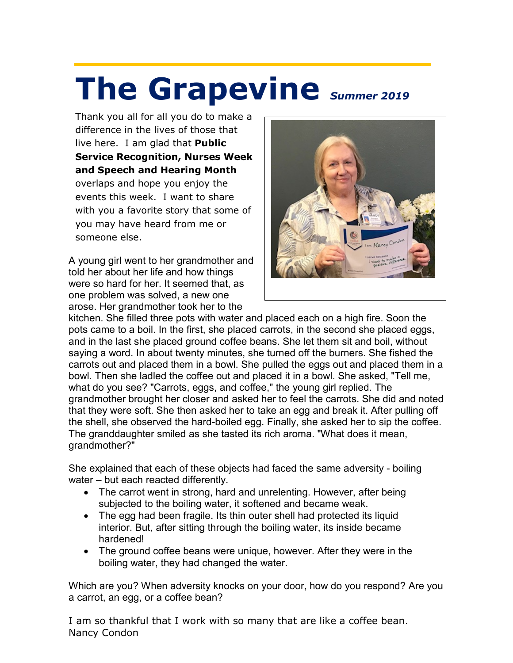# **The Grapevine** *Summer 2019*

Thank you all for all you do to make a difference in the lives of those that live here. I am glad that **Public Service Recognition, Nurses Week and Speech and Hearing Month** overlaps and hope you enjoy the events this week. I want to share with you a favorite story that some of you may have heard from me or someone else.

A young girl went to her grandmother and told her about her life and how things were so hard for her. It seemed that, as one problem was solved, a new one arose. Her grandmother took her to the



kitchen. She filled three pots with water and placed each on a high fire. Soon the pots came to a boil. In the first, she placed carrots, in the second she placed eggs, and in the last she placed ground coffee beans. She let them sit and boil, without saying a word. In about twenty minutes, she turned off the burners. She fished the carrots out and placed them in a bowl. She pulled the eggs out and placed them in a bowl. Then she ladled the coffee out and placed it in a bowl. She asked, "Tell me, what do you see? "Carrots, eggs, and coffee," the young girl replied. The grandmother brought her closer and asked her to feel the carrots. She did and noted that they were soft. She then asked her to take an egg and break it. After pulling off the shell, she observed the hard-boiled egg. Finally, she asked her to sip the coffee. The granddaughter smiled as she tasted its rich aroma. "What does it mean, grandmother?"

She explained that each of these objects had faced the same adversity - boiling water – but each reacted differently.

- The carrot went in strong, hard and unrelenting. However, after being subjected to the boiling water, it softened and became weak.
- The egg had been fragile. Its thin outer shell had protected its liquid interior. But, after sitting through the boiling water, its inside became hardened!
- The ground coffee beans were unique, however. After they were in the boiling water, they had changed the water.

Which are you? When adversity knocks on your door, how do you respond? Are you a carrot, an egg, or a coffee bean?

I am so thankful that I work with so many that are like a coffee bean. Nancy Condon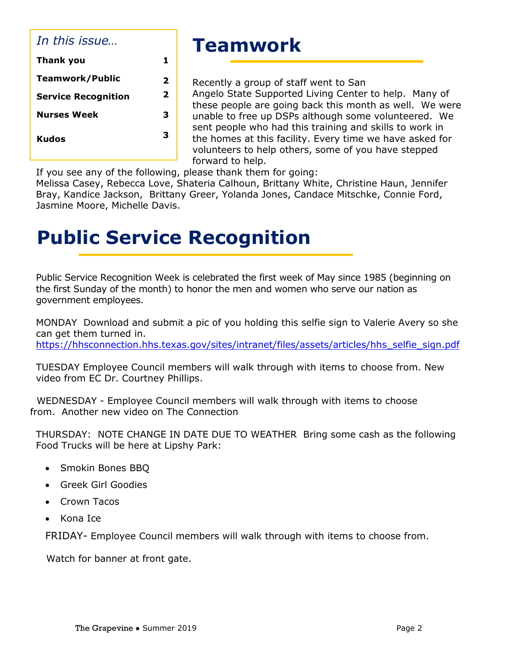#### *In this issue…*

| Thank you                  | 1 |
|----------------------------|---|
| Teamwork/Public            | 2 |
| <b>Service Recognition</b> | 2 |
| <b>Nurses Week</b>         | з |
| <b>Kudos</b>               | З |

#### **Teamwork**

Recently a group of staff went to San Angelo State Supported Living Center to help. Many of these people are going back this month as well. We were unable to free up DSPs although some volunteered. We sent people who had this training and skills to work in the homes at this facility. Every time we have asked for volunteers to help others, some of you have stepped forward to help.

If you see any of the following, please thank them for going:

Melissa Casey, Rebecca Love, Shateria Calhoun, Brittany White, Christine Haun, Jennifer Bray, Kandice Jackson, Brittany Greer, Yolanda Jones, Candace Mitschke, Connie Ford, Jasmine Moore, Michelle Davis.

### **Public Service Recognition**

Public Service Recognition Week is celebrated the first week of May since 1985 (beginning on the first Sunday of the month) to honor the men and women who serve our nation as government employees.

MONDAY Download and submit a pic of you holding this selfie sign to Valerie Avery so she can get them turned in.

[https://hhsconnection.hhs.texas.gov/sites/intranet/files/assets/articles/hhs\\_selfie\\_sign.pdf](https://hhsconnection.hhs.texas.gov/sites/intranet/files/assets/articles/hhs_selfie_sign.pdf)

TUESDAY Employee Council members will walk through with items to choose from. New video from EC Dr. Courtney Phillips.

 WEDNESDAY - Employee Council members will walk through with items to choose from. Another new video on The Connection

THURSDAY: NOTE CHANGE IN DATE DUE TO WEATHER Bring some cash as the following Food Trucks will be here at Lipshy Park:

- Smokin Bones BBQ
- Greek Girl Goodies
- Crown Tacos
- Kona Ice

FRIDAY- Employee Council members will walk through with items to choose from.

Watch for banner at front gate.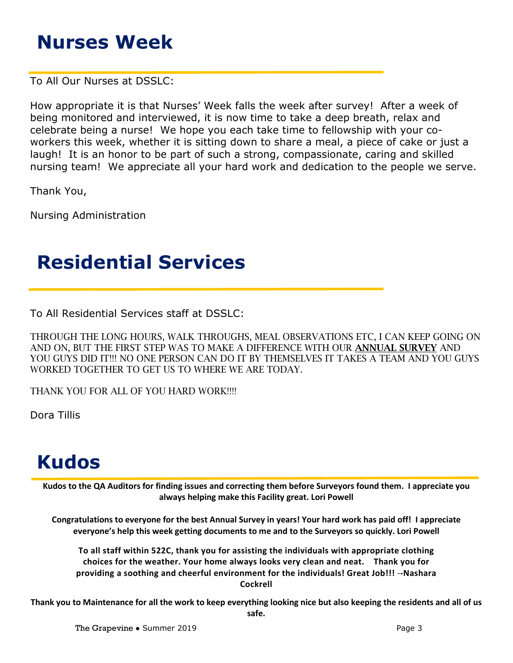### **Nurses Week**

To All Our Nurses at DSSLC:

How appropriate it is that Nurses' Week falls the week after survey! After a week of being monitored and interviewed, it is now time to take a deep breath, relax and celebrate being a nurse! We hope you each take time to fellowship with your coworkers this week, whether it is sitting down to share a meal, a piece of cake or just a laugh! It is an honor to be part of such a strong, compassionate, caring and skilled nursing team! We appreciate all your hard work and dedication to the people we serve.

Thank You,

Nursing Administration

## **Residential Services**

To All Residential Services staff at DSSLC:

THROUGH THE LONG HOURS, WALK THROUGHS, MEAL OBSERVATIONS ETC, I CAN KEEP GOING ON AND ON, BUT THE FIRST STEP WAS TO MAKE A DIFFERENCE WITH OUR ANNUAL SURVEY AND YOU GUYS DID IT!!! NO ONE PERSON CAN DO IT BY THEMSELVES IT TAKES A TEAM AND YOU GUYS WORKED TOGETHER TO GET US TO WHERE WE ARE TODAY.

THANK YOU FOR ALL OF YOU HARD WORK!!!!

Dora Tillis

#### **Kudos**

**Kudos to the QA Auditors for finding issues and correcting them before Surveyors found them. I appreciate you always helping make this Facility great. Lori Powell**

**Congratulations to everyone for the best Annual Survey in years! Your hard work has paid off! I appreciate everyone's help this week getting documents to me and to the Surveyors so quickly. Lori Powell**

**To all staff within 522C, thank you for assisting the individuals with appropriate clothing choices for the weather. Your home always looks very clean and neat. Thank you for providing a soothing and cheerful environment for the individuals! Great Job!!!** *-***-Nashara Cockrell**

**Thank you to Maintenance for all the work to keep everything looking nice but also keeping the residents and all of us safe.**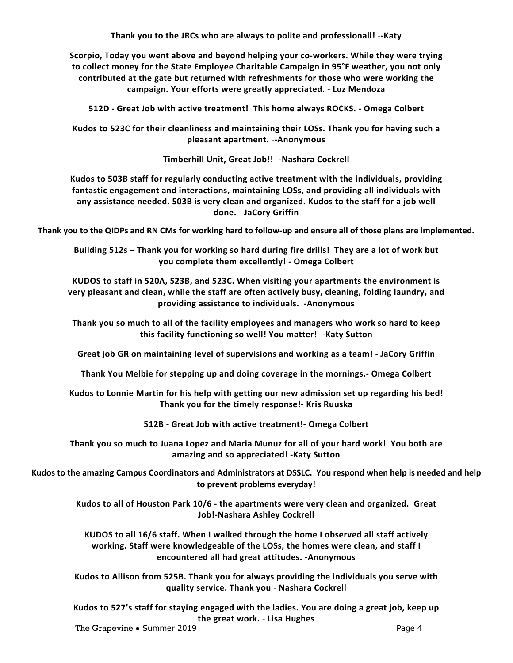**Thank you to the JRCs who are always to polite and professionall!** *-***-Katy** 

**Scorpio, Today you went above and beyond helping your co-workers. While they were trying to collect money for the State Employee Charitable Campaign in 95°F weather, you not only contributed at the gate but returned with refreshments for those who were working the campaign. Your efforts were greatly appreciated.** *-* **Luz Mendoza**

**512D - Great Job with active treatment! This home always ROCKS. - Omega Colbert**

**Kudos to 523C for their cleanliness and maintaining their LOSs. Thank you for having such a pleasant apartment.** *-***-Anonymous**

**Timberhill Unit, Great Job!!** *-***-Nashara Cockrell**

**Kudos to 503B staff for regularly conducting active treatment with the individuals, providing fantastic engagement and interactions, maintaining LOSs, and providing all individuals with any assistance needed. 503B is very clean and organized. Kudos to the staff for a job well done.** *-* **JaCory Griffin**

**Thank you to the QIDPs and RN CMs for working hard to follow-up and ensure all of those plans are implemented.**

**Building 512s – Thank you for working so hard during fire drills! They are a lot of work but you complete them excellently! - Omega Colbert**

**KUDOS to staff in 520A, 523B, and 523C. When visiting your apartments the environment is very pleasant and clean, while the staff are often actively busy, cleaning, folding laundry, and providing assistance to individuals. -Anonymous**

**Thank you so much to all of the facility employees and managers who work so hard to keep this facility functioning so well! You matter!** *-***-Katy Sutton**

**Great job GR on maintaining level of supervisions and working as a team! - JaCory Griffin**

**Thank You Melbie for stepping up and doing coverage in the mornings.- Omega Colbert**

**Kudos to Lonnie Martin for his help with getting our new admission set up regarding his bed! Thank you for the timely response!- Kris Ruuska**

**512B - Great Job with active treatment!- Omega Colbert**

**Thank you so much to Juana Lopez and Maria Munuz for all of your hard work! You both are amazing and so appreciated! -Katy Sutton**

**Kudos to the amazing Campus Coordinators and Administrators at DSSLC. You respond when help is needed and help to prevent problems everyday!**

**Kudos to all of Houston Park 10/6 - the apartments were very clean and organized. Great Job!-Nashara Ashley Cockrell**

**KUDOS to all 16/6 staff. When I walked through the home I observed all staff actively working. Staff were knowledgeable of the LOSs, the homes were clean, and staff I encountered all had great attitudes. -Anonymous**

**Kudos to Allison from 525B. Thank you for always providing the individuals you serve with quality service. Thank you** *-* **Nashara Cockrell**

**Kudos to 527's staff for staying engaged with the ladies. You are doing a great job, keep up the great work.** *-* **Lisa Hughes**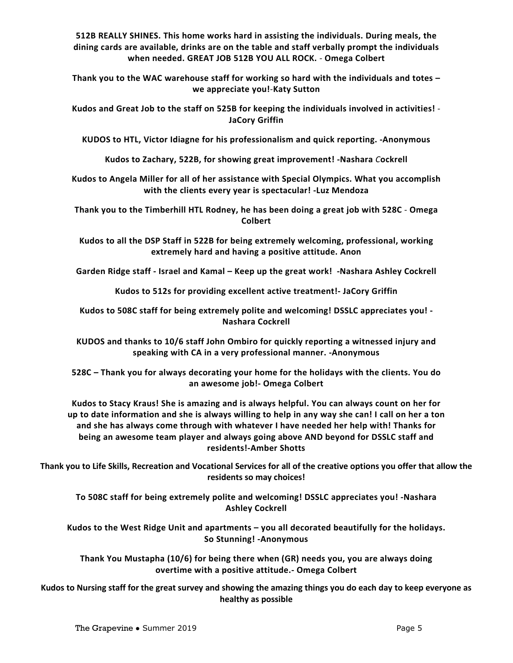**512B REALLY SHINES. This home works hard in assisting the individuals. During meals, the dining cards are available, drinks are on the table and staff verbally prompt the individuals when needed. GREAT JOB 512B YOU ALL ROCK.** *-* **Omega Colbert**

**Thank you to the WAC warehouse staff for working so hard with the individuals and totes – we appreciate you!***-***Katy Sutton**

**Kudos and Great Job to the staff on 525B for keeping the individuals involved in activities!** *-* **JaCory Griffin**

**KUDOS to HTL, Victor Idiagne for his professionalism and quick reporting. -Anonymous**

**Kudos to Zachary, 522B, for showing great improvement! -Nashara** *C***ockrell**

**Kudos to Angela Miller for all of her assistance with Special Olympics. What you accomplish with the clients every year is spectacular! -Luz Mendoza**

**Thank you to the Timberhill HTL Rodney, he has been doing a great job with 528C** *-* **Omega Colbert**

**Kudos to all the DSP Staff in 522B for being extremely welcoming, professional, working extremely hard and having a positive attitude. Anon**

**Garden Ridge staff - Israel and Kamal – Keep up the great work! -Nashara Ashley Cockrell**

**Kudos to 512s for providing excellent active treatment!- JaCory Griffin**

**Kudos to 508C staff for being extremely polite and welcoming! DSSLC appreciates you! - Nashara Cockrell**

**KUDOS and thanks to 10/6 staff John Ombiro for quickly reporting a witnessed injury and speaking with CA in a very professional manner. -Anonymous**

**528C – Thank you for always decorating your home for the holidays with the clients. You do an awesome job!- Omega Colbert**

**Kudos to Stacy Kraus! She is amazing and is always helpful. You can always count on her for up to date information and she is always willing to help in any way she can! I call on her a ton and she has always come through with whatever I have needed her help with! Thanks for being an awesome team player and always going above AND beyond for DSSLC staff and residents!-Amber Shotts**

**Thank you to Life Skills, Recreation and Vocational Services for all of the creative options you offer that allow the residents so may choices!** 

**To 508C staff for being extremely polite and welcoming! DSSLC appreciates you! -Nashara Ashley Cockrell**

**Kudos to the West Ridge Unit and apartments – you all decorated beautifully for the holidays. So Stunning! -Anonymous**

**Thank You Mustapha (10/6) for being there when (GR) needs you, you are always doing overtime with a positive attitude.- Omega Colbert**

**Kudos to Nursing staff for the great survey and showing the amazing things you do each day to keep everyone as healthy as possible**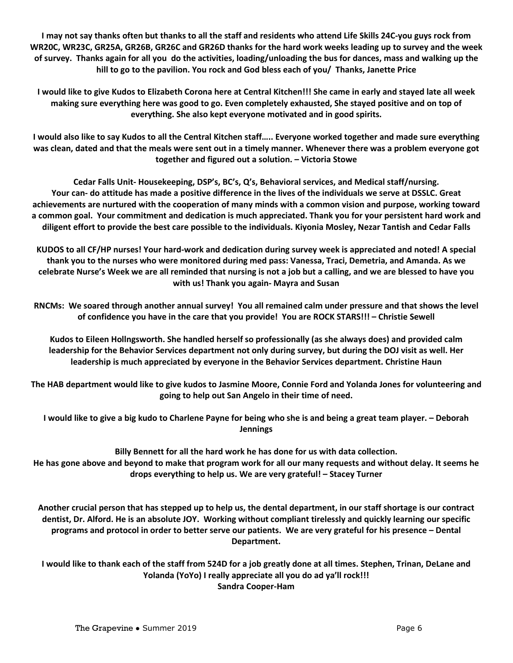**I may not say thanks often but thanks to all the staff and residents who attend Life Skills 24C-you guys rock from WR20C, WR23C, GR25A, GR26B, GR26C and GR26D thanks for the hard work weeks leading up to survey and the week of survey. Thanks again for all you do the activities, loading/unloading the bus for dances, mass and walking up the hill to go to the pavilion. You rock and God bless each of you/ Thanks, Janette Price**

**I would like to give Kudos to Elizabeth Corona here at Central Kitchen!!! She came in early and stayed late all week making sure everything here was good to go. Even completely exhausted, She stayed positive and on top of everything. She also kept everyone motivated and in good spirits.**

**I would also like to say Kudos to all the Central Kitchen staff….. Everyone worked together and made sure everything was clean, dated and that the meals were sent out in a timely manner. Whenever there was a problem everyone got together and figured out a solution. – Victoria Stowe**

**Cedar Falls Unit- Housekeeping, DSP's, BC's, Q's, Behavioral services, and Medical staff/nursing. Your can- do attitude has made a positive difference in the lives of the individuals we serve at DSSLC. Great achievements are nurtured with the cooperation of many minds with a common vision and purpose, working toward a common goal. Your commitment and dedication is much appreciated. Thank you for your persistent hard work and diligent effort to provide the best care possible to the individuals. Kiyonia Mosley, Nezar Tantish and Cedar Falls** 

**KUDOS to all CF/HP nurses! Your hard-work and dedication during survey week is appreciated and noted! A special thank you to the nurses who were monitored during med pass: Vanessa, Traci, Demetria, and Amanda. As we celebrate Nurse's Week we are all reminded that nursing is not a job but a calling, and we are blessed to have you with us! Thank you again- Mayra and Susan**

**RNCMs: We soared through another annual survey! You all remained calm under pressure and that shows the level of confidence you have in the care that you provide! You are ROCK STARS!!! – Christie Sewell**

**Kudos to Eileen Hollngsworth. She handled herself so professionally (as she always does) and provided calm leadership for the Behavior Services department not only during survey, but during the DOJ visit as well. Her leadership is much appreciated by everyone in the Behavior Services department. Christine Haun**

**The HAB department would like to give kudos to Jasmine Moore, Connie Ford and Yolanda Jones for volunteering and going to help out San Angelo in their time of need.**

**I would like to give a big kudo to Charlene Payne for being who she is and being a great team player. – Deborah Jennings**

**Billy Bennett for all the hard work he has done for us with data collection. He has gone above and beyond to make that program work for all our many requests and without delay. It seems he drops everything to help us. We are very grateful! – Stacey Turner**

**Another crucial person that has stepped up to help us, the dental department, in our staff shortage is our contract dentist, Dr. Alford. He is an absolute JOY. Working without compliant tirelessly and quickly learning our specific programs and protocol in order to better serve our patients. We are very grateful for his presence – Dental Department.**

**I would like to thank each of the staff from 524D for a job greatly done at all times. Stephen, Trinan, DeLane and Yolanda (YoYo) I really appreciate all you do ad ya'll rock!!! Sandra Cooper-Ham**